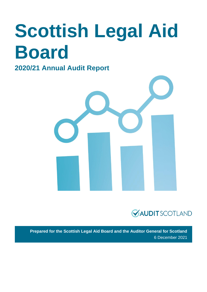# **Scottish Legal Aid Board**

## **2020/21 Annual Audit Report**





**Prepared for the Scottish Legal Aid Board and the Auditor General for Scotland** 6 December 2021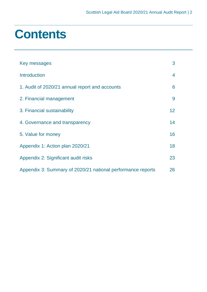## **Contents**

| Key messages                                                | 3  |
|-------------------------------------------------------------|----|
| <b>Introduction</b>                                         | 4  |
| 1. Audit of 2020/21 annual report and accounts              | 6  |
| 2. Financial management                                     | 9  |
| 3. Financial sustainability                                 | 12 |
| 4. Governance and transparency                              | 14 |
| 5. Value for money                                          | 16 |
| Appendix 1: Action plan 2020/21                             | 18 |
| Appendix 2: Significant audit risks                         | 23 |
| Appendix 3: Summary of 2020/21 national performance reports | 26 |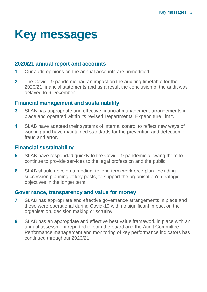## <span id="page-2-0"></span>**Key messages**

## **2020/21 annual report and accounts**

- **1** Our audit opinions on the annual accounts are unmodified.
- **2** The Covid-19 pandemic had an impact on the auditing timetable for the 2020/21 financial statements and as a result the conclusion of the audit was delayed to 6 December.

## **Financial management and sustainability**

- **3** SLAB has appropriate and effective financial management arrangements in place and operated within its revised Departmental Expenditure Limit.
- **4** SLAB have adapted their systems of internal control to reflect new ways of working and have maintained standards for the prevention and detection of fraud and error.

## **Financial sustainability**

- **5** SLAB have responded quickly to the Covid-19 pandemic allowing them to continue to provide services to the legal profession and the public.
- **6** SLAB should develop a medium to long term workforce plan, including succession planning of key posts, to support the organisation's strategic objectives in the longer term.

## **Governance, transparency and value for money**

- **7** SLAB has appropriate and effective governance arrangements in place and these were operational during Covid-19 with no significant impact on the organisation, decision making or scrutiny.
- **8** SLAB has an appropriate and effective best value framework in place with an annual assessment reported to both the board and the Audit Committee. Performance management and monitoring of key performance indicators has continued throughout 2020/21.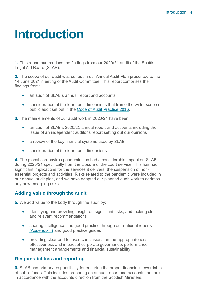## <span id="page-3-0"></span>**Introduction**

**1.** This report summarises the findings from our 2020/21 audit of the Scottish Legal Aid Board (SLAB).

**2.** The scope of our audit was set out in our Annual Audit Plan presented to the 14 June 2021 meeting of the Audit Committee. This report comprises the findings from:

- an audit of SLAB's annual report and accounts
- consideration of the four audit dimensions that frame the wider scope of public audit set out in the [Code of Audit Practice 2016.](http://www.audit-scotland.gov.uk/report/code-of-audit-practice-2016)

**3.** The main elements of our audit work in 2020/21 have been:

- an audit of SLAB's 2020/21 annual report and accounts including the issue of an independent auditor's report setting out our opinions
- a review of the key financial systems used by SLAB
- consideration of the four audit dimensions.

**4.** The global coronavirus pandemic has had a considerable impact on SLAB during 2020/21 specifically from the closure of the court service. This has had significant implications for the services it delivers, the suspension of nonessential projects and activities. Risks related to the pandemic were included in our annual audit plan, and we have adapted our planned audit work to address any new emerging risks.

### **Adding value through the audit**

**5.** We add value to the body through the audit by:

- identifying and providing insight on significant risks, and making clear and relevant recommendations
- sharing intelligence and good practice through our national reports [\(Appendix 4\)](#page-25-0) and good practice guides
- providing clear and focused conclusions on the appropriateness, effectiveness and impact of corporate governance, performance management arrangements and financial sustainability.

### **Responsibilities and reporting**

**6.** SLAB has primary responsibility for ensuring the proper financial stewardship of public funds. This includes preparing an annual report and accounts that are in accordance with the accounts direction from the Scottish Ministers.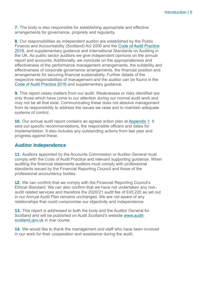**7.** The body is also responsible for establishing appropriate and effective arrangements for governance, propriety and regularity.

**8.** Our responsibilities as independent auditor are established by the Public Finance and Accountability (Scotland) Act 2000 and the [Code of Audit Practice](https://www.audit-scotland.gov.uk/report/code-of-audit-practice-2016)  [2016,](https://www.audit-scotland.gov.uk/report/code-of-audit-practice-2016) and supplementary guidance and International Standards on Auditing in the UK. As public sector auditors we give independent opinions on the annual report and accounts. Additionally, we conclude on the appropriateness and effectiveness of the performance management arrangements, the suitability and effectiveness of corporate governance arrangements, the financial position and arrangements for securing financial sustainability. Further details of the respective responsibilities of management and the auditor can be found in the [Code of Audit Practice 2016](http://auditscotland.spideronline.co.uk/report/code-of-audit-practice-2016) and supplementary guidance.

**9.** This report raises matters from our audit. Weaknesses or risks identified are only those which have come to our attention during our normal audit work and may not be all that exist. Communicating these does not absolve management from its responsibility to address the issues we raise and to maintain adequate systems of control.

**10.** Our annual audit report contains an agreed action plan at [Appendix 1.](#page-17-0) It sets out specific recommendations, the responsible officers and dates for implementation. It also includes any outstanding actions from last year and progress against these.

#### **Auditor Independence**

**11.** Auditors appointed by the Accounts Commission or Auditor General must comply with the Code of Audit Practice and relevant supporting guidance. When auditing the financial statements auditors must comply with professional standards issued by the Financial Reporting Council and those of the professional accountancy bodies.

**12.** We can confirm that we comply with the Financial Reporting Council's Ethical Standard. We can also confirm that we have not undertaken any nonaudit related services and therefore the 2020/21 audit fee of £45,220 as set out in our Annual Audit Plan remains unchanged. We are not aware of any relationships that could compromise our objectivity and independence.

**13.** This report is addressed to both the body and the Auditor General for Scotland and will be published on Audit Scotland's website [www.audit](http://www.audit-scotland.gov.uk/)[scotland.gov.uk](http://www.audit-scotland.gov.uk/) in due course.

**14.** We would like to thank the management and staff who have been involved in our work for their cooperation and assistance during the audit.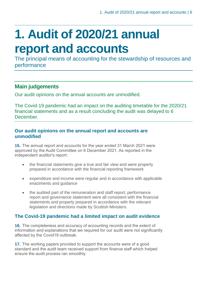## <span id="page-5-0"></span>**1. Audit of 2020/21 annual report and accounts**

The principal means of accounting for the stewardship of resources and performance

## **Main judgements**

Our audit opinions on the annual accounts are unmodified.

The Covid-19 pandemic had an impact on the auditing timetable for the 2020/21 financial statements and as a result concluding the audit was delayed to 6 **December** 

### **Our audit opinions on the annual report and accounts are unmodified**

**15.** The annual report and accounts for the year ended 31 March 2021 were approved by the Audit Committee on 6 December 2021. As reported in the independent auditor's report:

- the financial statements give a true and fair view and were properly prepared in accordance with the financial reporting framework
- expenditure and income were regular and in accordance with applicable enactments and guidance
- the audited part of the remuneration and staff report, performance report and governance statement were all consistent with the financial statements and properly prepared in accordance with the relevant legislation and directions made by Scottish Ministers.

## **The Covid-19 pandemic had a limited impact on audit evidence**

**16.** The completeness and accuracy of accounting records and the extent of information and explanations that we required for our audit were not significantly affected by the Covid19 outbreak.

**17.** The working papers provided to support the accounts were of a good standard and the audit team received support from finance staff which helped ensure the audit process ran smoothly.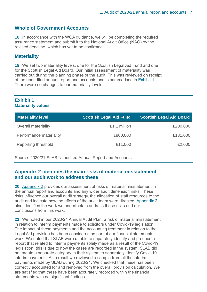### **Whole of Government Accounts**

**18.** In accordance with the WGA guidance, we will be completing the required assurance statement and submit it to the National Audit Office (NAO) by the revised deadline, which has yet to be confirmed.

#### **Materiality**

**19.** We set two materiality levels, one for the Scottish Legal Aid Fund and one for the Scottish Legal Aid Board. Our initial assessment of materiality was carried out during the planning phase of the audit. This was reviewed on receipt of the unaudited annual report and accounts and is summarised in [Exhibit](#page-6-0) 1. There were no changes to our materiality levels.

#### <span id="page-6-0"></span>**Exhibit 1 Materiality values**

| <b>Materiality level</b> | <b>Scottish Legal Aid Fund</b> | <b>Scottish Legal Aid Board</b> |
|--------------------------|--------------------------------|---------------------------------|
| Overall materiality      | £1.1 million                   | £200,000                        |
| Performance materiality  | £800,000                       | £131,000                        |
| Reporting threshold      | £11,000                        | £2,000                          |

Source: 2020/21 SLAB Unaudited Annual Report and Accounts

#### **[Appendix 2](#page-22-0) identifies the main risks of material misstatement and our audit work to address these**

**20.** [Appendix 2](#page-22-0) provides our assessment of risks of material misstatement in the annual report and accounts and any wider audit dimension risks. These risks influence our overall audit strategy, the allocation of staff resources to the audit and indicate how the efforts of the audit team were directed. [Appendix 2](#page-22-0) also identifies the work we undertook to address these risks and our conclusions from this work.

**21.** We noted in our 2020/21 Annual Audit Plan, a risk of material misstatement in relation to interim payments made to solicitors under Covid-19 legislation. The impact of these payments and the accounting treatment in relation to the Legal Aid provision has been considered as part of our financial statements work. We noted that SLAB were unable to separately identify and produce a report that related to interim payments solely made as a result of the Covid-19 legislation, this is due to how the cases are recorded in the system. SLAB did not create a separate category in their system to separately identify Covid-19 interim payments. As a result we reviewed a sample from all the interim payments made by SLAB during 2020/21. We checked that these has been correctly accounted for and removed from the overall provision calculation. We are satisfied that these have been accurately recorded within the financial statements with no significant findings.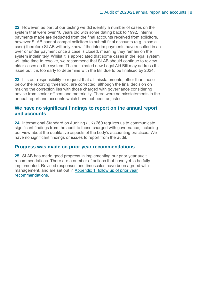**22.** However, as part of our testing we did identify a number of cases on the system that were over 10 years old with some dating back to 1992. Interim payments made are deducted from the final accounts received from solicitors, however SLAB cannot compel solicitors to submit final accounts (e.g. close a case) therefore SLAB will only know if the interim payments have resulted in an over or under payment once a case is closed, meaning they remain on the system indefinitely. Whilst it is appreciated that some cases in the legal system will take time to resolve, we recommend that SLAB should continue to review older cases on the system. The anticipated new Legal Aid Bill may address this issue but it is too early to determine with the Bill due to be finalised by 2024.

**23.** It is our responsibility to request that all misstatements, other than those below the reporting threshold, are corrected, although the final decision on making the correction lies with those charged with governance considering advice from senior officers and materiality. There were no misstatements in the annual report and accounts which have not been adjusted.

#### **We have no significant findings to report on the annual report and accounts**

**24.** International Standard on Auditing (UK) 260 requires us to communicate significant findings from the audit to those charged with governance, including our view about the qualitative aspects of the body's accounting practices. We have no significant findings or issues to report from the audit.

### **Progress was made on prior year recommendations**

**25.** SLAB has made good progress in implementing our prior year audit recommendations. There are a number of actions that have yet to be fully implemented. Revised responses and timescales have been agreed with management, and are set out in [Appendix 1, follow up of prior year](#page-18-0)  [recommendations.](#page-18-0)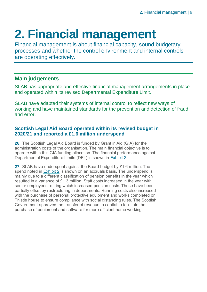## <span id="page-8-0"></span>**2. Financial management**

Financial management is about financial capacity, sound budgetary processes and whether the control environment and internal controls are operating effectively.

## **Main judgements**

SLAB has appropriate and effective financial management arrangements in place and operated within its revised Departmental Expenditure Limit.

SLAB have adapted their systems of internal control to reflect new ways of working and have maintained standards for the prevention and detection of fraud and error.

### **Scottish Legal Aid Board operated within its revised budget in 2020/21 and reported a £1.6 million underspend**

**26.** The Scottish Legal Aid Board is funded by Grant in Aid (GIA) for the administration costs of the organisation. The main financial objective is to operate within this GIA funding allocation. The financial performance against Departmental Expenditure Limits (DEL) is shown in [Exhibit 2.](#page-8-1)

<span id="page-8-1"></span>**27.** SLAB have underspent against the Board budget by £1.6 million. The spend noted in [Exhibit 2](#page-8-1) is shown on an accruals basis. The underspend is mainly due to a different classification of pension benefits in the year which resulted in a variance of £1.3 million. Staff costs increased in the year with senior employees retiring which increased pension costs. These have been partially offset by restructuring in departments. Running costs also increased with the purchase of personal protective equipment and works completed on Thistle house to ensure compliance with social distancing rules. The Scottish Government approved the transfer of revenue to capital to facilitate the purchase of equipment and software for more efficient home working.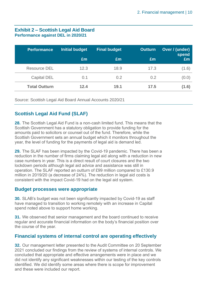#### **Exhibit 2 – Scottish Legal Aid Board Performance against DEL in 2020/21**

| <b>Performance</b>   | <b>Initial budget</b> | <b>Final budget</b> | Outturn | Over / (under)<br>spend |
|----------------------|-----------------------|---------------------|---------|-------------------------|
|                      | £m                    | Em                  | Em      | £m                      |
| Resource DEL         | 12.3                  | 18.9                | 17.3    | (1.6)                   |
| <b>Capital DEL</b>   | 0.1                   | 0.2                 | 0.2     | (0.0)                   |
| <b>Total Outturn</b> | 12.4                  | 19.1                | 17.5    | (1.6)                   |

Source: Scottish Legal Aid Board Annual Accounts 2020/21

## **Scottish Legal Aid Fund (SLAF)**

**28.** The Scottish Legal Aid Fund is a non-cash limited fund. This means that the Scottish Government has a statutory obligation to provide funding for the amounts paid to solicitors or counsel out of the fund. Therefore, while the Scottish Government sets an annual budget which it monitors throughout the year, the level of funding for the payments of legal aid is demand led.

**29.** The SLAF has been impacted by the Covid-19 pandemic. There has been a reduction in the number of firms claiming legal aid along with a reduction in new case numbers in year. This is a direct result of court closures and the two lockdown periods although legal aid advice and assistance was still in operation. The SLAF reported an outturn of £99 million compared to £130.9 million in 2019/20 (a decrease of 24%). The reduction in legal aid costs is consistent with the impact Covid-19 had on the legal aid system.

#### **Budget processes were appropriate**

**30.** SLAB's budget was not been significantly impacted by Covid-19 as staff have managed to transition to working remotely with an increase in Capital spend noted above to support home working.

**31.** We observed that senior management and the board continued to receive regular and accurate financial information on the body's financial position over the course of the year.

### **Financial systems of internal control are operating effectively**

**32.** Our management letter presented to the Audit Committee on 20 September 2021 concluded our findings from the review of systems of internal controls. We concluded that appropriate and effective arrangements were in place and we did not identify any significant weaknesses within our testing of the key controls identified. We did identify some areas where there is scope for improvement and these were included our report.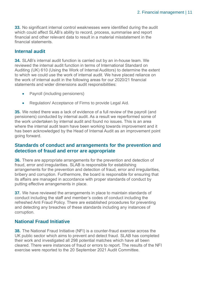**33.** No significant internal control weaknesses were identified during the audit which could affect SLAB's ability to record, process, summarise and report financial and other relevant data to result in a material misstatement in the financial statements.

#### **Internal audit**

**34.** SLAB's internal audit function is carried out by an in-house team. We reviewed the internal audit function in terms of International Standard on Auditing (UK) 610 (Using the Work of Internal Auditors) to determine the extent to which we could use the work of internal audit. We have placed reliance on the work of internal audit in the following areas for our 2020/21 financial statements and wider dimensions audit responsibilities:

- Payroll (including pensioners)
- Regulation/ Acceptance of Firms to provide Legal Aid.

**35.** We noted there was a lack of evidence of a full review of the payroll (and pensioners) conducted by internal audit. As a result we reperformed some of the work undertaken by internal audit and found no issues. This is an area where the internal audit team have been working towards improvement and it has been acknowledged by the Head of Internal Audit as an improvement point going forward.

### **Standards of conduct and arrangements for the prevention and detection of fraud and error are appropriate**

**36.** There are appropriate arrangements for the prevention and detection of fraud, error and irregularities. SLAB is responsible for establishing arrangements for the prevention and detection of fraud, error and irregularities, bribery and corruption. Furthermore, the board is responsible for ensuring that its affairs are managed in accordance with proper standards of conduct by putting effective arrangements in place.

**37.** We have reviewed the arrangements in place to maintain standards of conduct including the staff and member's codes of conduct including the refreshed Anti Fraud Policy. There are established procedures for preventing and detecting any breaches of these standards including any instances of corruption.

### **National Fraud Initiative**

**38.** The National Fraud Initiative (NFI) is a counter-fraud exercise across the UK public sector which aims to prevent and detect fraud. SLAB has completed their work and investigated all 298 potential matches which have all been cleared. There were instances of fraud or errors to report. The results of the NFI exercise were reported to the 20 September 2021 Audit Committee.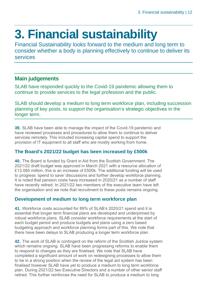## <span id="page-11-0"></span>**3. Financial sustainability**

Financial Sustainability looks forward to the medium and long term to consider whether a body is planning effectively to continue to deliver its services

## **Main judgements**

SLAB have responded quickly to the Covid-19 pandemic allowing them to continue to provide services to the legal profession and the public.

SLAB should develop a medium to long term workforce plan, including succession planning of key posts, to support the organisation's strategic objectives in the longer term.

**39.** SLAB have been able to manage the impact of the Covid-19 pandemic and have reviewed processes and procedures to allow them to continue to deliver services remotely. This included increasing capital spend to support the provision of IT equipment to all staff who are mostly working from home.

## **The Board's 2021/22 budget has been increased by £500k**

**40.** The Board is funded by Grant in Aid from the Scottish Government. The 2021/22 draft budget was approved in March 2021 with a resource allocation of £13.085 million, this is an increase of £500k. The additional funding will be used to progress 'spend to save' discussions and further develop workforce planning. It is noted that pension costs have increased in 2020/21 as a number of staff have recently retired. In 2021/22 two members of the executive team have left the organisation and we note that recruitment to these posts remains ongoing.

## **Development of medium to long term workforce plan**

<span id="page-11-1"></span>**41.** Workforce costs accounted for 89% of SLAB's 2020/21 spend and it is essential that longer term financial plans are developed and underpinned by robust workforce plans. SLAB consider workforce requirements at the start of each budget period and produce budgets and plans using a zero based budgeting approach and workforce planning forms part of this. We note that there have been delays to SLAB producing a longer term workforce plan.

**42.** The work of SLAB is contingent on the reform of the Scottish Justice system which remains ongoing. SLAB have been progressing reforms to enable them to respond to changes as they are finalised. We note that SLAB have completed a significant amount of work on redesigning processes to allow them to be in a strong position when the review of the legal aid system has been finalised however SLAB have yet to produce a medium to long term workforce plan. During 2021/22 two Executive Directors and a number of other senior staff retired. This further reinforces the need for SLAB to produce a medium to long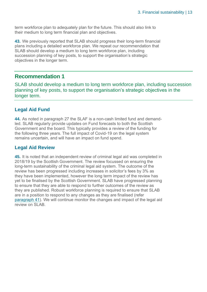term workforce plan to adequately plan for the future. This should also link to their medium to long term financial plan and objectives.

**43.** We previously reported that SLAB should progress their long-term financial plans including a detailed workforce plan. We repeat our recommendation that SLAB should develop a medium to long term workforce plan, including succession planning of key posts, to support the organisation's strategic objectives in the longer term.

## **Recommendation 1**

SLAB should develop a medium to long term workforce plan, including succession planning of key posts, to support the organisation's strategic objectives in the longer term.

## **Legal Aid Fund**

**44.** As noted in paragraph 27 the SLAF is a non-cash limited fund and demandled. SLAB regularly provide updates on Fund forecasts to both the Scottish Government and the board. This typically provides a review of the funding for the following three years. The full impact of Covid-19 on the legal system remains uncertain, and will have an impact on fund spend.

### **Legal Aid Review**

**45.** It is noted that an independent review of criminal legal aid was completed in 2018/19 by the Scottish Government. The review focussed on ensuring the long-term sustainability of the criminal legal aid system. The outcome of the review has been progressed including increases in solicitor's fees by 3% as they have been implemented, however the long term impact of the review has yet to be finalised by the Scottish Government. SLAB have progressed planning to ensure that they are able to respond to further outcomes of the review as they are published. Robust workforce planning is required to ensure that SLAB are in a position to respond to any changes as they are finalised (refer [paragraph 41\)](#page-11-1). We will continue monitor the changes and impact of the legal aid review on SLAB.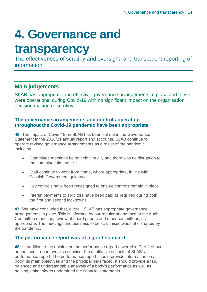## <span id="page-13-0"></span>**4. Governance and**

## **transparency**

The effectiveness of scrutiny and oversight, and transparent reporting of **information** 

## **Main judgements**

SLAB has appropriate and effective governance arrangements in place and these were operational during Covid-19 with no significant impact on the organisation, decision making or scrutiny.

#### **The governance arrangements and controls operating throughout the Covid-19 pandemic have been appropriate**

**46.** The impact of Covid-19 on SLAB has been set out in the Governance Statement in the 2020/21 annual report and accounts. SLAB continue to operate revised governance arrangements as a result of the pandemic including:

- Committee meetings being held virtually and there was no disruption to the committee timetable
- Staff continue to work from home, where appropriate, in line with Scottish Government guidance
- Key controls have been redesigned to ensure controls remain in place
- Interim payments to solicitors have been paid as required during both the first and second lockdowns.

**47.** We have concluded that, overall, SLAB has appropriate governance arrangements in place. This is informed by our regular attendance at the Audit Committee meetings, review of board papers and other committees, as appropriate. The meetings and business to be scrutinised was not disrupted by the pandemic.

## **The performance report was of a good standard**

**48.** In addition to the opinion on the performance report covered in Part 1 of our annual audit report, we also consider the qualitative aspects of SLAB's performance report. The performance report should provide information on a body, its main objectives and the principal risks faced. It should provide a fair, balanced and understandable analysis of a body's performance as well as helping stakeholders understand the financial statements.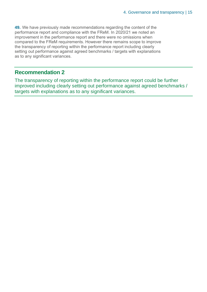<span id="page-14-0"></span>**49.** We have previously made recommendations regarding the content of the performance report and compliance with the FReM. In 2020/21 we noted an improvement in the performance report and there were no omissions when compared to the FReM requirements. However there remains scope to improve the transparency of reporting within the performance report including clearly setting out performance against agreed benchmarks / targets with explanations as to any significant variances.

## **Recommendation 2**

The transparency of reporting within the performance report could be further improved including clearly setting out performance against agreed benchmarks / targets with explanations as to any significant variances.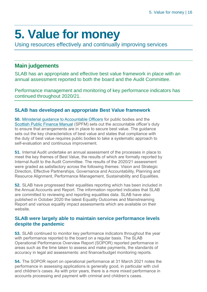## <span id="page-15-0"></span>**5. Value for money**

Using resources effectively and continually improving services

## **Main judgements**

SLAB has an appropriate and effective best value framework in place with an annual assessment reported to both the board and the Audit Committee.

Performance management and monitoring of key performance indicators has continued throughout 2020/21.

### **SLAB has developed an appropriate Best Value framework**

**50.** [Ministerial guidance to Accountable Officers](https://www.gov.scot/publications/best-value-public-services-guidance-accountable-officers/) for public bodies and the [Scottish Public Finance Manual](https://www.gov.scot/publications/scottish-public-finance-manual/best-value/best-value/) (SPFM) sets out the accountable officer's duty to ensure that arrangements are in place to secure best value. The guidance sets out the key characteristics of best value and states that compliance with the duty of best value requires public bodies to take a systematic approach to self-evaluation and continuous improvement.

**51.** Internal Audit undertake an annual assessment of the processes in place to meet the key themes of Best Value, the results of which are formally reported by Internal Audit to the Audit Committee. The results of the 2020/21 assessment were graded as satisfactory across the following themes: Vision and Strategic Direction, Effective Partnerships, Governance and Accountability, Planning and Resource Alignment, Performance Management, Sustainability and Equalities.

**52.** SLAB have progressed their equalities reporting which has been included in the Annual Accounts and Report. The information reported indicates that SLAB are committed to reviewing and reporting equalities data. SLAB have also published in October 2020 the latest Equality Outcomes and Mainstreaming Report and various equality impact assessments which are available on their website.

#### **SLAB were largely able to maintain service performance levels despite the pandemic**

**53.** SLAB continued to monitor key performance indicators throughout the year with performance reported to the board on a regular basis. The SLAB Operational Performance Overview Report (SOPOR) reported performance in areas such as the time taken to assess and make payments, the standards of accuracy in legal aid assessments: and finance/budget monitoring reports.

**54.** The SOPOR report on operational performance at 31 March 2021 notes the performance in assessing applications is generally good, in particular with civil and children's cases. As with prior years, there is a more mixed performance in accounts processing and payment with criminal and children's cases.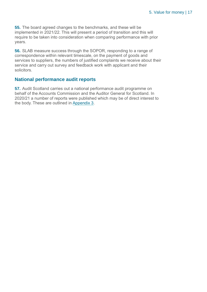**55.** The board agreed changes to the benchmarks, and these will be implemented in 2021/22. This will present a period of transition and this will require to be taken into consideration when comparing performance with prior years.

**56.** SLAB measure success through the SOPOR, responding to a range of correspondence within relevant timescale, on the payment of goods and services to suppliers, the numbers of justified complaints we receive about their service and carry out survey and feedback work with applicant and their solicitors.

### **National performance audit reports**

**57.** Audit Scotland carries out a national performance audit programme on behalf of the Accounts Commission and the Auditor General for Scotland. In 2020/21 a number of reports were published which may be of direct interest to the body. These are outlined in [Appendix 3.](#page-25-0)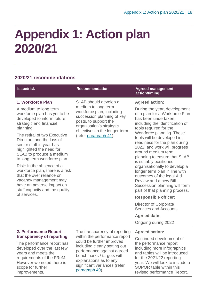## <span id="page-17-0"></span>**Appendix 1: Action plan 2020/21**

## **2020/21 recommendations**

<span id="page-17-1"></span>improvements.

<span id="page-17-2"></span>

| <b>Issue/risk</b>                                                                                                                                                                  | <b>Recommendation</b>                                                                                                                                                                                                                             | <b>Agreed management</b><br>action/timing                                                                                                                                         |                                                                                                                                                                |
|------------------------------------------------------------------------------------------------------------------------------------------------------------------------------------|---------------------------------------------------------------------------------------------------------------------------------------------------------------------------------------------------------------------------------------------------|-----------------------------------------------------------------------------------------------------------------------------------------------------------------------------------|----------------------------------------------------------------------------------------------------------------------------------------------------------------|
| 1. Workforce Plan                                                                                                                                                                  | SLAB should develop a<br>medium to long term<br>workforce plan, including<br>succession planning of key<br>posts, to support the<br>organisation's strategic<br>objectives in the longer term<br>(refer paragraph 41).                            | <b>Agreed action:</b>                                                                                                                                                             |                                                                                                                                                                |
| A medium to long term<br>workforce plan has yet to be<br>developed to inform future<br>strategic and financial<br>planning.                                                        |                                                                                                                                                                                                                                                   | has been undertaken,<br>tools required for the<br>Workforce planning. These<br>around medium term<br>is suitably positioned<br>Review and a new Bill.                             | During the year, development<br>of a plan for a Workforce Plan<br>including the identification of                                                              |
| The retiral of two Executive<br>Directors and the loss of<br>senior staff in year has<br>highlighted the need for<br>SLAB to produce a medium<br>to long term workforce plan.      |                                                                                                                                                                                                                                                   |                                                                                                                                                                                   | tools will be developed in<br>readiness for the plan during<br>2022, and work will progress<br>planning to ensure that SLAB                                    |
| Risk: In the absence of a<br>workforce plan, there is a risk<br>that the over reliance on<br>vacancy management may<br>have an adverse impact on<br>staff capacity and the quality |                                                                                                                                                                                                                                                   |                                                                                                                                                                                   | organisationally to develop a<br>longer term plan in line with<br>outcomes of the legal Aid<br>Succession planning will form<br>part of that planning process. |
| of services.                                                                                                                                                                       |                                                                                                                                                                                                                                                   | <b>Responsible officer:</b>                                                                                                                                                       |                                                                                                                                                                |
|                                                                                                                                                                                    |                                                                                                                                                                                                                                                   | Director of Corporate<br><b>Services and Accounts</b>                                                                                                                             |                                                                                                                                                                |
|                                                                                                                                                                                    |                                                                                                                                                                                                                                                   | <b>Agreed date:</b>                                                                                                                                                               |                                                                                                                                                                |
|                                                                                                                                                                                    |                                                                                                                                                                                                                                                   | Ongoing during 2022                                                                                                                                                               |                                                                                                                                                                |
| 2. Performance Report -<br>transparency of reporting                                                                                                                               | The transparency of reporting<br>within the performance report<br>could be further improved<br>including clearly setting out<br>performance against agreed<br>benchmarks / targets with<br>explanations as to any<br>significant variances (refer | <b>Agreed action:</b><br>Continued development of                                                                                                                                 |                                                                                                                                                                |
| The performance report has<br>developed over the last few<br>years and meets the<br>requirements of the FReM.<br>However we noted there is<br>scope for further                    |                                                                                                                                                                                                                                                   | the performance report<br>including more infographics<br>and tables will be introduced<br>for the 2021/22 reporting<br>year. We will look to include a<br>SOPOR table within this |                                                                                                                                                                |

[paragraph 49\)](#page-14-0).

SOPOR table within this revised performance Report.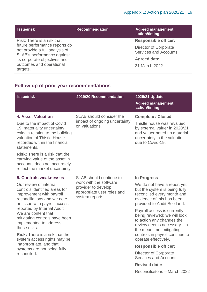| <b>Issue/risk</b>                                                                             | <b>Recommendation</b> | <b>Agreed management</b><br>action/timing                    |
|-----------------------------------------------------------------------------------------------|-----------------------|--------------------------------------------------------------|
| Risk: There is a risk that                                                                    |                       | <b>Responsible officer:</b>                                  |
| future performance reports do<br>not provide a full analysis of<br>SLAB's performance against |                       | <b>Director of Corporate</b><br><b>Services and Accounts</b> |
| its corporate objectives and                                                                  |                       | <b>Agreed date:</b>                                          |
| outcomes and operational<br>targets.                                                          |                       | 31 March 2022                                                |

## <span id="page-18-0"></span>**Follow-up of prior year recommendations**

| <b>Issue/risk</b>                                                                                                                                                                                                                                                                                                                                       | 2019/20 Recommendation                                                                                                    | 2020/21 Update<br><b>Agreed management</b><br>action/timing                                                                                                                 |
|---------------------------------------------------------------------------------------------------------------------------------------------------------------------------------------------------------------------------------------------------------------------------------------------------------------------------------------------------------|---------------------------------------------------------------------------------------------------------------------------|-----------------------------------------------------------------------------------------------------------------------------------------------------------------------------|
| <b>4. Asset Valuation</b><br>Due to the impact of Covid<br>19, materiality uncertainty<br>exits in relation to the building<br>valuation of Thistle House<br>recorded within the financial<br>statements.<br><b>Risk:</b> There is a risk that the<br>carrying value of the asset in<br>accounts does not accurately<br>reflect the market uncertainty. | SLAB should consider the<br>impact of ongoing uncertainty<br>on valuations.                                               | <b>Complete / Closed</b><br>Thistle house was revalued<br>by external valuer in 2020/21<br>and valuer noted no material<br>uncertainty in the valuation<br>due to Covid-19. |
| 5. Controls weaknesses                                                                                                                                                                                                                                                                                                                                  | SLAB should continue to<br>work with the software<br>provider to develop<br>appropriate user roles and<br>system reports. | In Progress                                                                                                                                                                 |
| Our review of internal<br>controls identified areas for<br>improvement with payroll<br>reconciliations and we note<br>an issue with payroll access                                                                                                                                                                                                      |                                                                                                                           | We do not have a report yet<br>but the system is being fully<br>reconciled every month and<br>evidence of this has been<br>provided to Audit Scotland.                      |
| reported by Internal Audit.<br>We are content that<br>mitigating controls have been<br>implemented to address<br>these risks.                                                                                                                                                                                                                           |                                                                                                                           | Payroll access is currently<br>being reviewed; we will look<br>to action any changes the<br>review deems necessary. In<br>the meantime, mitigating                          |
| <b>Risk:</b> There is a risk that the<br>system access rights may be<br>inappropriate, and that<br>systems are not being fully<br>reconciled.                                                                                                                                                                                                           |                                                                                                                           | controls in payroll continue to<br>operate effectively.                                                                                                                     |
|                                                                                                                                                                                                                                                                                                                                                         |                                                                                                                           | <b>Responsible officer:</b>                                                                                                                                                 |
|                                                                                                                                                                                                                                                                                                                                                         |                                                                                                                           | Director of Corporate<br><b>Services and Accounts</b>                                                                                                                       |
|                                                                                                                                                                                                                                                                                                                                                         |                                                                                                                           | <b>Revised date:</b>                                                                                                                                                        |

Reconciliaitons – March 2022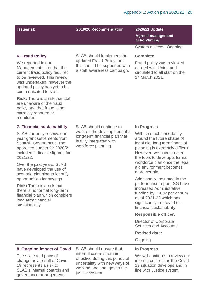<span id="page-19-0"></span>

| <b>Issue/risk</b>                                                                                                                                                                                                                                                                                                                                                                 | 2019/20 Recommendation                                                                                                                                      | 2020/21 Update<br><b>Agreed management</b><br>action/timing                                                                                                                                                                                                                                                                 |
|-----------------------------------------------------------------------------------------------------------------------------------------------------------------------------------------------------------------------------------------------------------------------------------------------------------------------------------------------------------------------------------|-------------------------------------------------------------------------------------------------------------------------------------------------------------|-----------------------------------------------------------------------------------------------------------------------------------------------------------------------------------------------------------------------------------------------------------------------------------------------------------------------------|
|                                                                                                                                                                                                                                                                                                                                                                                   |                                                                                                                                                             | System access - Ongoing                                                                                                                                                                                                                                                                                                     |
| <b>6. Fraud Policy</b><br>We reported in our<br>Management letter that the<br>current fraud policy required<br>to be reviewed. This review<br>was undertaken, however the<br>updated policy has yet to be<br>communicated to staff.<br><b>Risk:</b> There is a risk that staff<br>are unaware of the fraud<br>policy and that fraud is not<br>correctly reported or<br>monitored. | SLAB should implement the<br>updated Fraud Policy, and<br>this should be supported with<br>a staff awareness campaign.                                      | <b>Complete</b><br>Fraud policy was reviewed<br>agreed with Union and<br>circulated to all staff on the<br>1 <sup>st</sup> March 2021.                                                                                                                                                                                      |
| <b>7. Financial sustainability</b>                                                                                                                                                                                                                                                                                                                                                | <b>SLAB</b> should continue to                                                                                                                              | <b>In Progress</b>                                                                                                                                                                                                                                                                                                          |
| SLAB currently receive one-<br>year grant settlements from<br><b>Scottish Government. The</b><br>approved budget for 2020/21<br>included indicative figures for<br>2021/22.<br>Over the past years, SLAB<br>have developed the use of<br>scenario planning to identify                                                                                                            | work on the development of a<br>long-term financial plan that<br>is fully integrated with<br>workforce planning.                                            | With so much uncertainty<br>around the future shape of<br>legal aid, long term financial<br>planning is extremely difficult.<br>However, we have created<br>the tools to develop a formal<br>workforce plan once the legal<br>aid environment becomes<br>more certain.                                                      |
| opportunities for savings.<br><b>Risk:</b> There is a risk that<br>there is no formal long-term<br>financial plan which considers<br>long term financial<br>sustainability.                                                                                                                                                                                                       |                                                                                                                                                             | Additionally, as noted in the<br>performance report, SG have<br>increased Administrative<br>funding by £500k per annum<br>as of 2021-22 which has<br>significantly improved our<br>financial sustainability<br><b>Responsible officer:</b><br>Director of Corporate<br><b>Services and Accounts</b><br><b>Revised date:</b> |
|                                                                                                                                                                                                                                                                                                                                                                                   |                                                                                                                                                             | Ongoing                                                                                                                                                                                                                                                                                                                     |
| 8. Ongoing impact of Covid<br>The scale and pace of<br>change as a result of Covid-<br>19 represents a risk to<br>SLAB's internal controls and                                                                                                                                                                                                                                    | <b>SLAB</b> should ensure that<br>internal controls remain<br>effective during this period of<br>uncertainty with new ways of<br>working and changes to the | <b>In Progress</b><br>We will continue to review our<br>internal controls as the Covid-<br>19 situation develops and in<br>line with Justice system                                                                                                                                                                         |

working and changes to the justice system.

governance arrangements.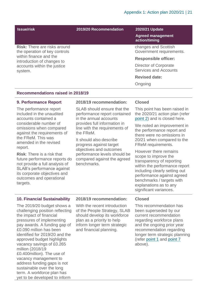| <b>Issue/risk</b>                                                                              | 2019/20 Recommendation | 2020/21 Update<br><b>Agreed management</b><br>action/timing |
|------------------------------------------------------------------------------------------------|------------------------|-------------------------------------------------------------|
| <b>Risk:</b> There are risks around<br>the operation of key controls                           |                        | changes and Scottish<br>Government requirements.            |
| within finance and the<br>introduction of changes to<br>accounts within the justice<br>system. |                        | <b>Responsible officer:</b>                                 |
|                                                                                                |                        | Director of Corporate<br><b>Services and Accounts</b>       |
|                                                                                                |                        | <b>Revised date:</b>                                        |
|                                                                                                |                        | Ongoing                                                     |

#### **Recommendations raised in 2018/19**

#### **9. Performance Report**

The performance report included in the unaudited accounts contained a considerable number of omissions when compared against the requirements of the FReM. This was amended in the revised report.

**Risk**: There is a risk that future performance reports do not provide a full analysis of SLAB's performance against its corporate objectives and outcomes and operational targets.

#### **2018/19 recommendation:**

SLAB should ensure that the performance report contained in the annual accounts provides full information in line with the requirements of the FReM.

It should also describe progress against target objectives and outcomes performance levels should be compared against the agreed benchmarks.

#### **Closed**

This point has been raised in the 2020/21 action plan (refer [point 2\)](#page-17-1) and is closed here.

We noted an improvement in the performance report and there were no omissions in 20/21 when compared to the FReM requirements.

However there remains scope to improve the transparency of reporting within the performance report including clearly setting out performance against agreed benchmarks / targets with explanations as to any significant variances.

#### **10. Financial Sustainability**

The 2019/20 budget shows a challenging position reflecting the impact of financial pressures of implementing pay awards. A funding gap of £0.090 million has been identified for 2019/20 and the approved budget highlights vacancy savings of £0.265 million (2018/19 £0.400million). The use of vacancy management to address funding gaps is not sustainable over the long term. A workforce plan has yet to be developed to inform

#### **2018/19 recommendation:**

With the recent introduction of the People Strategy, SLAB should develop its workforce plan as a priority to help inform longer term strategic and financial planning.

#### **Closed**

This recommendation has been superseded by our current recommendation regarding workforce plans and the ongoing prior year recommendation regarding longer term strategic planning (refer [point 1](#page-17-2) and [point 7](#page-19-0) above).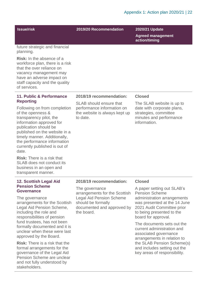#### **Issue/risk 2019/20 Recommendation 2020/21 Update**

**Agreed management action/timing**

future strategic and financial planning.

**Risk:** In the absence of a workforce plan, there is a risk that the over reliance on vacancy management may have an adverse impact on staff capacity and the quality of services.

#### **11. Public & Performance Reporting**

Following on from completion of the openness & transparency pilot, the information approved for publication should be published on the website in a timely manner. Additionally, the performance information currently published is out of date.

**Risk:** There is a risk that SLAB does not conduct its business in an open and transparent manner.

#### **12. Scottish Legal Aid Pension Scheme Governance**

The governance arrangements for the Scottish Legal Aid Pension Scheme, including the role and responsibilities of pension fund trustees, has not been formally documented and it is unclear when these were last approved by the Board.

**Risk:** There is a risk that the formal arrangements for the governance of the Legal Aid Pension Scheme are unclear and not fully understood by stakeholders.

#### **2018/19 recommendation:**

SLAB should ensure that performance information on the website is always kept up to date.

#### **Closed**

The SLAB website is up to date with corporate plans, strategies, committee minutes and performance information.

#### **2018/19 recommendation:**

The governance arrangements for the Scottish Legal Aid Pension Scheme should be formally documented and approved by the board.

#### **Closed**

A paper setting out SLAB's Pension Scheme administration arrangements was presented at the 14 June 2021 Audit Committee prior to being presented to the board for approval.

The documents sets out the current administration and associated governance arrangements in relation to the SLAB Pension Scheme(s) and includes setting out the key areas of responsibility.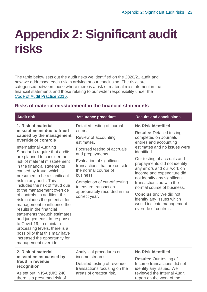## <span id="page-22-0"></span>**Appendix 2: Significant audit risks**

The table below sets out the audit risks we identified on the 2020/21 audit and how we addressed each risk in arriving at our conclusion. The risks are categorised between those where there is a risk of material misstatement in the financial statements and those relating to our wider responsibility under the [Code of Audit Practice 2016.](http://www.audit-scotland.gov.uk/report/code-of-audit-practice-2016)

### **Risks of material misstatement in the financial statements**

| <b>Audit risk</b>                                                                                                                                                                                                                                                                                                                                                                                                                                                                                                                                                                                                                                    | <b>Assurance procedure</b>                                                                                                                                                                                                                                                   | <b>Results and conclusions</b>                                                                                                                                                                                                                                                                                                                                                                                 |
|------------------------------------------------------------------------------------------------------------------------------------------------------------------------------------------------------------------------------------------------------------------------------------------------------------------------------------------------------------------------------------------------------------------------------------------------------------------------------------------------------------------------------------------------------------------------------------------------------------------------------------------------------|------------------------------------------------------------------------------------------------------------------------------------------------------------------------------------------------------------------------------------------------------------------------------|----------------------------------------------------------------------------------------------------------------------------------------------------------------------------------------------------------------------------------------------------------------------------------------------------------------------------------------------------------------------------------------------------------------|
| 1. Risk of material<br>misstatement due to fraud<br>caused by the management<br>override of controls                                                                                                                                                                                                                                                                                                                                                                                                                                                                                                                                                 | Detailed testing of journal<br>entries.<br>Review of accounting                                                                                                                                                                                                              | <b>No Risk Identified</b><br><b>Results: Detailed testing</b><br>completed on Journals                                                                                                                                                                                                                                                                                                                         |
| <b>International Auditing</b><br>Standards require that audits<br>are planned to consider the<br>risk of material misstatement<br>in the financial statements<br>caused by fraud, which is<br>presumed to be a significant<br>risk in any audit. This<br>includes the risk of fraud due<br>to the management override<br>of controls. In addition, this<br>risk includes the potential for<br>management to influence the<br>results in the financial<br>statements through estimates<br>and judgements. In response<br>to Covid-19, to maintain<br>processing levels, there is a<br>possibility that this may have<br>increased the opportunity for | estimates.<br>Focused testing of accruals<br>and prepayments.<br>Evaluation of significant<br>transactions that are outside<br>the normal course of<br>business.<br>Completion of cut-off testing<br>to ensure transaction<br>appropriately recorded in the<br>correct year. | entries and accounting<br>estimates and no issues were<br>identified.<br>Our testing of accruals and<br>prepayments did not identify<br>any errors and our work on<br>income and expenditure did<br>not identify any significant<br>transactions outwith the<br>normal course of business.<br><b>Conclusion:</b> We did not<br>identify any issues which<br>would indicate management<br>override of controls. |
| management override<br>2. Risk of material<br>misstatement caused by                                                                                                                                                                                                                                                                                                                                                                                                                                                                                                                                                                                 | Analytical procedures on<br>income streams.                                                                                                                                                                                                                                  | <b>No Risk Identified</b><br>$\sim$ 1. $\sim$ $\sim$ $\sim$ $\sim$                                                                                                                                                                                                                                                                                                                                             |

### **misstatement caused by fraud in revenue recognition**

As set out in ISA (UK) 240, there is a presumed risk of

income streams.

Detailed testing of revenue transactions focusing on the areas of greatest risk.

**Results:** Our testing of Income transactions did not identify any issues. We reviewed the Internal Audit report on the work of the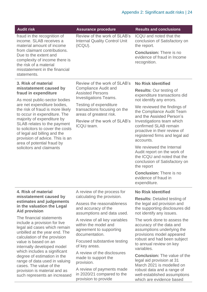| <b>Audit risk</b>                                                                                                                                                                                                                                                                                                                                                                                          | <b>Assurance procedure</b>                                                                                   | <b>Results and conclusions</b>                                                                                                        |
|------------------------------------------------------------------------------------------------------------------------------------------------------------------------------------------------------------------------------------------------------------------------------------------------------------------------------------------------------------------------------------------------------------|--------------------------------------------------------------------------------------------------------------|---------------------------------------------------------------------------------------------------------------------------------------|
| fraud in the recognition of<br>income. SLAB receives a<br>material amount of income<br>from claimant contributions.                                                                                                                                                                                                                                                                                        | Review of the work of SLAB's<br><b>Internal Quality Control Unit</b><br>(ICQU).                              | <b>ICQU</b> and noted that the<br>conclusion of Satisfactory on<br>the report.                                                        |
| Due to the extent and<br>complexity of income there is<br>the risk of a material<br>misstatement in the financial<br>statements.                                                                                                                                                                                                                                                                           |                                                                                                              | <b>Conclusion: There is no</b><br>evidence of fraud in Income<br>recognition.                                                         |
| 3. Risk of material                                                                                                                                                                                                                                                                                                                                                                                        | Review of the work of SLAB's                                                                                 | <b>No Risk Identified</b>                                                                                                             |
| misstatement caused by<br>fraud in expenditure                                                                                                                                                                                                                                                                                                                                                             | <b>Compliance Audit and</b><br><b>Assisted Persons</b>                                                       | <b>Results: Our testing of</b><br>expenditure transactions did                                                                        |
| As most public-sector bodies                                                                                                                                                                                                                                                                                                                                                                               | <b>Investigations Teams.</b>                                                                                 | not identify any errors.                                                                                                              |
| are net expenditure bodies,<br>the risk of fraud is more likely<br>to occur in expenditure. The                                                                                                                                                                                                                                                                                                            | Testing of expenditure<br>transactions focusing on the<br>areas of greatest risk.                            | We reviewed the findings of<br>the Compliance Audit Team<br>and the Assisted Person's                                                 |
| majority of expenditure by<br>SLAB relates to the payment<br>to solicitors to cover the costs<br>of legal aid billing and the<br>provision of advice. This is an                                                                                                                                                                                                                                           | Review of the work of SLAB's<br>ICQU team.                                                                   | Investigations team which<br>confirmed SLAB remain<br>proactive in their review of<br>registered firms and legal aid<br>accounts.     |
| area of potential fraud by<br>solicitors and claimants                                                                                                                                                                                                                                                                                                                                                     |                                                                                                              | We reviewed the Internal<br>Audit report on the work of<br>the ICQU and noted that the<br>conclusion of Satisfactory on<br>the report |
|                                                                                                                                                                                                                                                                                                                                                                                                            |                                                                                                              | <b>Conclusion: There is no</b><br>evidence of fraud in<br>expenditure.                                                                |
| 4. Risk of material                                                                                                                                                                                                                                                                                                                                                                                        | A review of the process for                                                                                  | <b>No Risk Identified</b>                                                                                                             |
| misstatement caused by<br>estimates and judgements<br>in the valuation the Legal<br><b>Aid provision</b>                                                                                                                                                                                                                                                                                                   | calculating the provision.<br>Assess the reasonableness<br>and accuracy of the<br>assumptions and data used. | <b>Results: Detailed testing of</b><br>the legal aid provision and<br>the supporting disclosures did<br>not identify any issues.      |
| The financial statements<br>include a provision for live<br>legal aid cases which remain<br>unbilled at the year end. The<br>calculation of the provision<br>value is based on an<br>internally developed model<br>which includes a significant<br>degree of estimation in the<br>range of data used in valuing<br>cases. The value of the<br>provision is material and as<br>such represents an increased | A review of all key variables<br>within the model and<br>agreement to supporting<br>documentation.           | The work done to assess the<br>accuracy of the data and<br>assumptions underlying the<br>provisions model appeared                    |
|                                                                                                                                                                                                                                                                                                                                                                                                            | Focused substantive testing<br>of key areas.                                                                 | robust and had been subject<br>to annual review on key<br>variables.                                                                  |
|                                                                                                                                                                                                                                                                                                                                                                                                            | A review of the disclosures<br>made to support the<br>provision.                                             | <b>Conclusion:</b> The value of the<br>legal aid provision at 31<br>March 2021 is modelled on                                         |
|                                                                                                                                                                                                                                                                                                                                                                                                            | A review of payments made<br>in 2020/21 compared to the<br>provision to provide                              | robust data and a range of<br>well-established assumptions<br>which are evidence based                                                |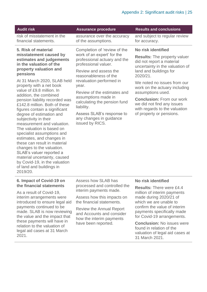| <b>Audit risk</b>                                                                                                                                                                                                                                                                                                                                                                                                                                                                                                                                                                                                                                                                                                                 | <b>Assurance procedure</b>                                                                                                                                                                                                                                                                                                                                                               | <b>Results and conclusions</b>                                                                                                                                                                                                                                                                                                                                                      |
|-----------------------------------------------------------------------------------------------------------------------------------------------------------------------------------------------------------------------------------------------------------------------------------------------------------------------------------------------------------------------------------------------------------------------------------------------------------------------------------------------------------------------------------------------------------------------------------------------------------------------------------------------------------------------------------------------------------------------------------|------------------------------------------------------------------------------------------------------------------------------------------------------------------------------------------------------------------------------------------------------------------------------------------------------------------------------------------------------------------------------------------|-------------------------------------------------------------------------------------------------------------------------------------------------------------------------------------------------------------------------------------------------------------------------------------------------------------------------------------------------------------------------------------|
| risk of misstatement in the<br>financial statements.                                                                                                                                                                                                                                                                                                                                                                                                                                                                                                                                                                                                                                                                              | assurance over the accuracy<br>of the assumptions.                                                                                                                                                                                                                                                                                                                                       | and subject to regular review<br>for accuracy.                                                                                                                                                                                                                                                                                                                                      |
| 5. Risk of material<br>misstatement caused by<br>estimates and judgements<br>in the valuation of the<br>property valuation and<br>pensions<br>At 31 March 2020, SLAB held<br>property with a net book<br>value of £9.8 million. In<br>addition, the combined<br>pension liability recorded was<br>£142.8 million. Both of these<br>figures contain a significant<br>degree of estimation and<br>subjectivity in their<br>measurement and valuation.<br>The valuation is based on<br>specialist assumptions and<br>estimates, and changes in<br>these can result in material<br>changes to the valuation.<br>SLAB's valuer reported a<br>material uncertainty, caused<br>by Covid-19, in the valuation<br>of land and buildings in | Completion of 'review of the<br>work of an expert' for the<br>professional actuary and the<br>professional valuer.<br>Review and assess the<br>reasonableness of the<br>revaluation performed in<br>year.<br>Review of the estimates and<br>assumptions made in<br>calculating the pension fund<br>liability.<br>Assess SLAB's response to<br>any changes in guidance<br>issued by RICS. | No risk identified<br><b>Results:</b> The property valuer<br>did not report a material<br>uncertainty in the valuation of<br>land and buildings for<br>2020/21.<br>We noted no issues from our<br>work on the actuary including<br>assumptions used.<br><b>Conclusion: From our work</b><br>we did not find any issues<br>with regards to the valuation<br>of property or pensions. |
| 2019/20.                                                                                                                                                                                                                                                                                                                                                                                                                                                                                                                                                                                                                                                                                                                          |                                                                                                                                                                                                                                                                                                                                                                                          |                                                                                                                                                                                                                                                                                                                                                                                     |

#### **6. Impact of Covid-19 on the financial statements**

As a result of Covid-19, interim arrangements were introduced to ensure legal aid payments continued to be made. SLAB is now reviewing the value and the impact that these payments will have in relation to the valuation of legal aid cases at 31 March 2021.

Assess how SLAB has processed and controlled the interim payments made.

Assess how this impacts on the financial statements.

Review the Annual Report and Accounts and consider how the interim payments have been reported.

#### **No risk identified**

**Results:** There were £4.4 million of interim payments made during 2020/21 of which we are unable to confirm the value of interim payments specifically made for Covid-19 arrangements.

**Conclusion:** No issues were found in relation of the valuation of legal aid cases at 31 March 2021.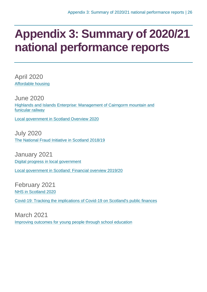## <span id="page-25-0"></span>**Appendix 3: Summary of 2020/21 national performance reports**

April 2020 [Affordable housing](https://www.audit-scotland.gov.uk/report/affordable-housing)

June 2020 [Highlands and Islands Enterprise: Management of Cairngorm mountain and](https://www.audit-scotland.gov.uk/report/highlands-and-islands-enterprise-management-of-cairngorm-mountain-and-funicular-railway)  [funicular railway](https://www.audit-scotland.gov.uk/report/highlands-and-islands-enterprise-management-of-cairngorm-mountain-and-funicular-railway)

[Local government in Scotland Overview 2020](https://www.audit-scotland.gov.uk/report/local-government-in-scotland-overview-2020)

July 2020 [The National Fraud Initiative in Scotland 2018/19](https://www.audit-scotland.gov.uk/report/the-national-fraud-initiative-in-scotland-201819)

January 2021 [Digital progress in local government](https://www.audit-scotland.gov.uk/report/digital-progress-in-local-government)

[Local government in Scotland: Financial overview 2019/20](https://www.audit-scotland.gov.uk/report/local-government-in-scotland-financial-overview-201920)

February 2021 [NHS in Scotland 2020](https://www.audit-scotland.gov.uk/report/nhs-in-scotland-2020)

[Covid-19: Tracking the implications of Covid-19 on Scotland's public finances](https://www.audit-scotland.gov.uk/report/covid-19-tracking-the-implications-of-covid-19-on-scotlands-public-finances)

March 2021 [Improving outcomes for young people through school education](https://www.audit-scotland.gov.uk/report/improving-outcomes-for-young-people-through-school-education)